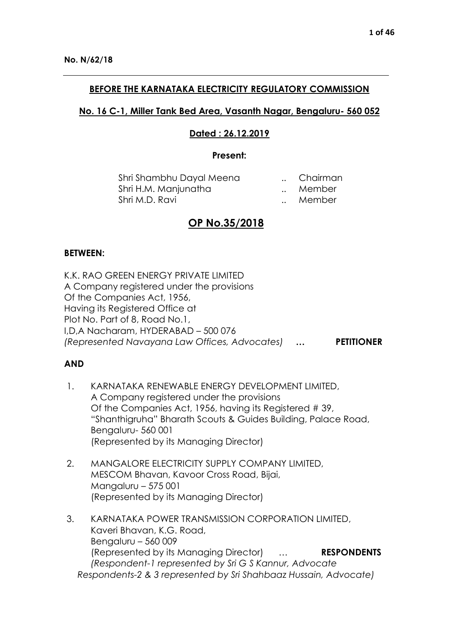### **BEFORE THE KARNATAKA ELECTRICITY REGULATORY COMMISSION**

## **No. 16 C-1, Miller Tank Bed Area, Vasanth Nagar, Bengaluru- 560 052**

## **Dated : 26.12.2019**

#### **Present:**

| Shri Shambhu Dayal Meena |              | Chairman |
|--------------------------|--------------|----------|
| Shri H.M. Manjunatha     |              | Member   |
| Shri M.D. Ravi           | $\mathbf{r}$ | Member   |

# **OP No.35/2018**

#### **BETWEEN:**

K.K. RAO GREEN ENERGY PRIVATE LIMITED A Company registered under the provisions Of the Companies Act, 1956, Having its Registered Office at Plot No. Part of 8, Road No.1, I,D,A Nacharam, HYDERABAD – 500 076 *(Represented Navayana Law Offices, Advocates)* **… PETITIONER**

## **AND**

- 1. KARNATAKA RENEWABLE ENERGY DEVELOPMENT LIMITED, A Company registered under the provisions Of the Companies Act, 1956, having its Registered # 39, "Shanthigruha" Bharath Scouts & Guides Building, Palace Road, Bengaluru- 560 001 (Represented by its Managing Director)
- 2. MANGALORE ELECTRICITY SUPPLY COMPANY LIMITED, MESCOM Bhavan, Kavoor Cross Road, Bijai, Mangaluru – 575 001 (Represented by its Managing Director)
- 3. KARNATAKA POWER TRANSMISSION CORPORATION LIMITED, Kaveri Bhavan, K.G. Road, Bengaluru – 560 009 (Represented by its Managing Director) … **RESPONDENTS** *(Respondent-1 represented by Sri G S Kannur, Advocate Respondents-2 & 3 represented by Sri Shahbaaz Hussain, Advocate)*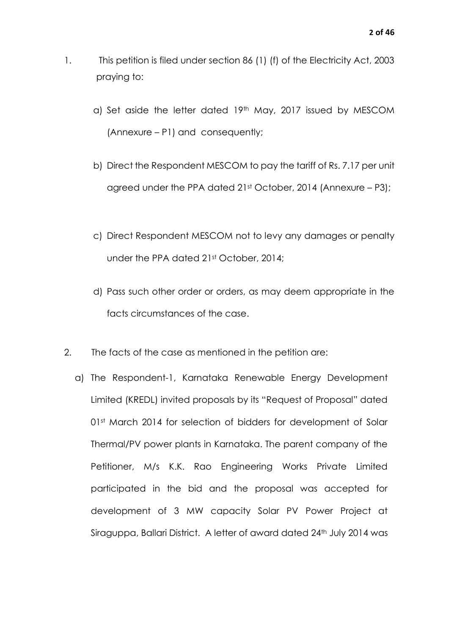- 1. This petition is filed under section 86 (1) (f) of the Electricity Act, 2003 praying to:
	- a) Set aside the letter dated 19th May, 2017 issued by MESCOM (Annexure – P1) and consequently;
	- b) Direct the Respondent MESCOM to pay the tariff of Rs. 7.17 per unit agreed under the PPA dated 21st October, 2014 (Annexure – P3);
	- c) Direct Respondent MESCOM not to levy any damages or penalty under the PPA dated 21st October, 2014;
	- d) Pass such other order or orders, as may deem appropriate in the facts circumstances of the case.
- 2. The facts of the case as mentioned in the petition are:
	- a) The Respondent-1, Karnataka Renewable Energy Development Limited (KREDL) invited proposals by its "Request of Proposal" dated 01st March 2014 for selection of bidders for development of Solar Thermal/PV power plants in Karnataka. The parent company of the Petitioner, M/s K.K. Rao Engineering Works Private Limited participated in the bid and the proposal was accepted for development of 3 MW capacity Solar PV Power Project at Siraguppa, Ballari District. A letter of award dated 24<sup>th</sup> July 2014 was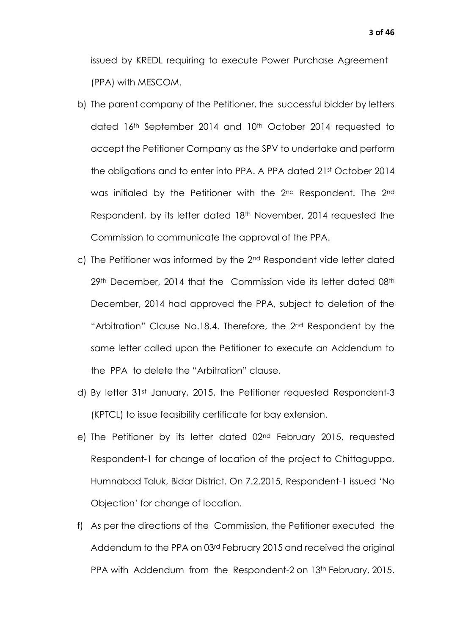issued by KREDL requiring to execute Power Purchase Agreement (PPA) with MESCOM.

- b) The parent company of the Petitioner, the successful bidder by letters dated 16th September 2014 and 10th October 2014 requested to accept the Petitioner Company as the SPV to undertake and perform the obligations and to enter into PPA. A PPA dated 21st October 2014 was initialed by the Petitioner with the 2nd Respondent. The 2nd Respondent, by its letter dated 18<sup>th</sup> November, 2014 requested the Commission to communicate the approval of the PPA.
- c) The Petitioner was informed by the 2nd Respondent vide letter dated 29th December, 2014 that the Commission vide its letter dated 08th December, 2014 had approved the PPA, subject to deletion of the "Arbitration" Clause No.18.4. Therefore, the 2<sup>nd</sup> Respondent by the same letter called upon the Petitioner to execute an Addendum to the PPA to delete the "Arbitration" clause.
- d) By letter 31st January, 2015, the Petitioner requested Respondent-3 (KPTCL) to issue feasibility certificate for bay extension.
- e) The Petitioner by its letter dated 02nd February 2015, requested Respondent-1 for change of location of the project to Chittaguppa, Humnabad Taluk, Bidar District. On 7.2.2015, Respondent-1 issued 'No Objection' for change of location.
- f) As per the directions of the Commission, the Petitioner executed the Addendum to the PPA on 03rd February 2015 and received the original PPA with Addendum from the Respondent-2 on 13<sup>th</sup> February, 2015.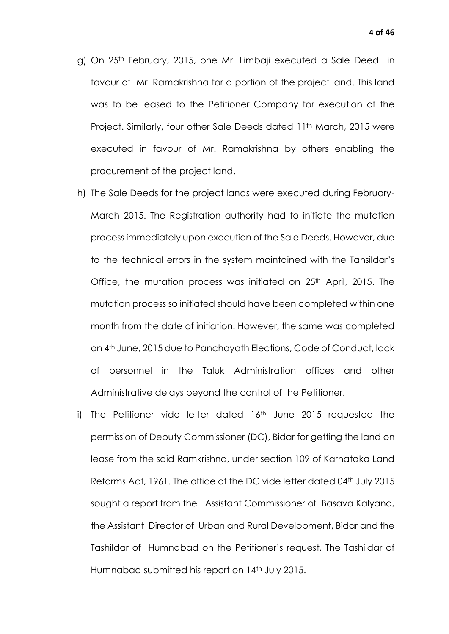- g) On 25<sup>th</sup> February, 2015, one Mr. Limbaji executed a Sale Deed in favour of Mr. Ramakrishna for a portion of the project land. This land was to be leased to the Petitioner Company for execution of the Project. Similarly, four other Sale Deeds dated 11<sup>th</sup> March, 2015 were executed in favour of Mr. Ramakrishna by others enabling the procurement of the project land.
- h) The Sale Deeds for the project lands were executed during February-March 2015. The Registration authority had to initiate the mutation process immediately upon execution of the Sale Deeds. However, due to the technical errors in the system maintained with the Tahsildar's Office, the mutation process was initiated on 25<sup>th</sup> April, 2015. The mutation process so initiated should have been completed within one month from the date of initiation. However, the same was completed on 4th June, 2015 due to Panchayath Elections, Code of Conduct, lack of personnel in the Taluk Administration offices and other Administrative delays beyond the control of the Petitioner.
- i) The Petitioner vide letter dated  $16<sup>th</sup>$  June 2015 requested the permission of Deputy Commissioner (DC), Bidar for getting the land on lease from the said Ramkrishna, under section 109 of Karnataka Land Reforms Act, 1961. The office of the DC vide letter dated 04<sup>th</sup> July 2015 sought a report from the Assistant Commissioner of Basava Kalyana, the Assistant Director of Urban and Rural Development, Bidar and the Tashildar of Humnabad on the Petitioner's request. The Tashildar of Humnabad submitted his report on 14<sup>th</sup> July 2015.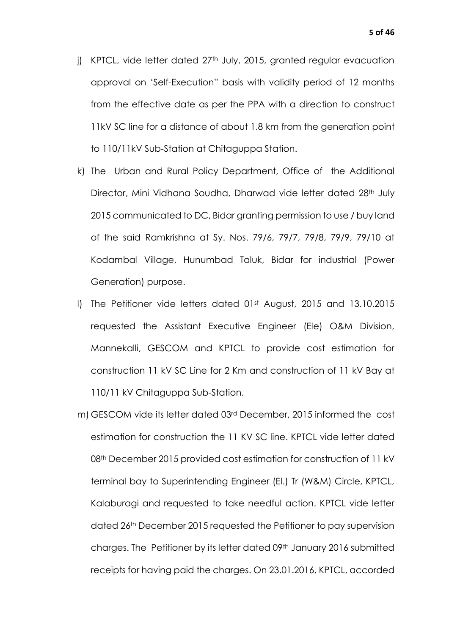- j) KPTCL, vide letter dated 27<sup>th</sup> July, 2015, granted regular evacuation approval on 'Self-Execution" basis with validity period of 12 months from the effective date as per the PPA with a direction to construct 11kV SC line for a distance of about 1.8 km from the generation point to 110/11kV Sub-Station at Chitaguppa Station.
- k) The Urban and Rural Policy Department, Office of the Additional Director, Mini Vidhana Soudha, Dharwad vide letter dated 28th July 2015 communicated to DC, Bidar granting permission to use / buy land of the said Ramkrishna at Sy. Nos. 79/6, 79/7, 79/8, 79/9, 79/10 at Kodambal Village, Hunumbad Taluk, Bidar for industrial (Power Generation) purpose.
- l) The Petitioner vide letters dated 01st August, 2015 and 13.10.2015 requested the Assistant Executive Engineer (Ele) O&M Division, Mannekalli, GESCOM and KPTCL to provide cost estimation for construction 11 kV SC Line for 2 Km and construction of 11 kV Bay at 110/11 kV Chitaguppa Sub-Station.
- m) GESCOM vide its letter dated 03rd December, 2015 informed the cost estimation for construction the 11 KV SC line. KPTCL vide letter dated 08<sup>th</sup> December 2015 provided cost estimation for construction of 11 kV terminal bay to Superintending Engineer (El.) Tr (W&M) Circle, KPTCL, Kalaburagi and requested to take needful action. KPTCL vide letter dated 26th December 2015 requested the Petitioner to pay supervision charges. The Petitioner by its letter dated 09<sup>th</sup> January 2016 submitted receipts for having paid the charges. On 23.01.2016, KPTCL, accorded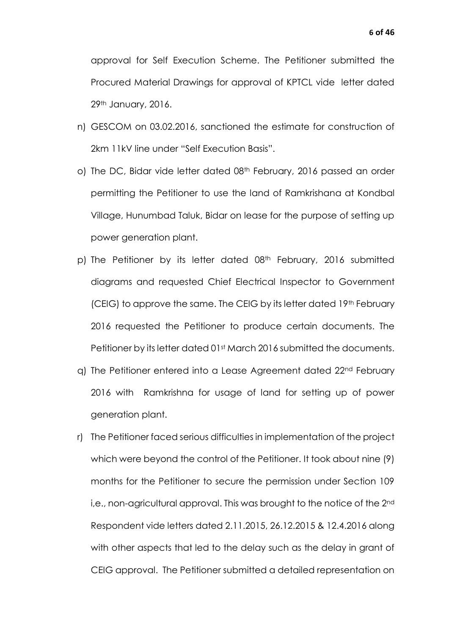approval for Self Execution Scheme. The Petitioner submitted the Procured Material Drawings for approval of KPTCL vide letter dated 29th January, 2016.

- n) GESCOM on 03.02.2016, sanctioned the estimate for construction of 2km 11kV line under "Self Execution Basis".
- o) The DC, Bidar vide letter dated 08<sup>th</sup> February, 2016 passed an order permitting the Petitioner to use the land of Ramkrishana at Kondbal Village, Hunumbad Taluk, Bidar on lease for the purpose of setting up power generation plant.
- p) The Petitioner by its letter dated 08<sup>th</sup> February, 2016 submitted diagrams and requested Chief Electrical Inspector to Government (CEIG) to approve the same. The CEIG by its letter dated 19th February 2016 requested the Petitioner to produce certain documents. The Petitioner by its letter dated 01<sup>st</sup> March 2016 submitted the documents.
- q) The Petitioner entered into a Lease Agreement dated 22nd February 2016 with Ramkrishna for usage of land for setting up of power generation plant.
- r) The Petitioner faced serious difficulties in implementation of the project which were beyond the control of the Petitioner. It took about nine (9) months for the Petitioner to secure the permission under Section 109 i,e., non-agricultural approval. This was brought to the notice of the 2<sup>nd</sup> Respondent vide letters dated 2.11.2015, 26.12.2015 & 12.4.2016 along with other aspects that led to the delay such as the delay in grant of CEIG approval. The Petitioner submitted a detailed representation on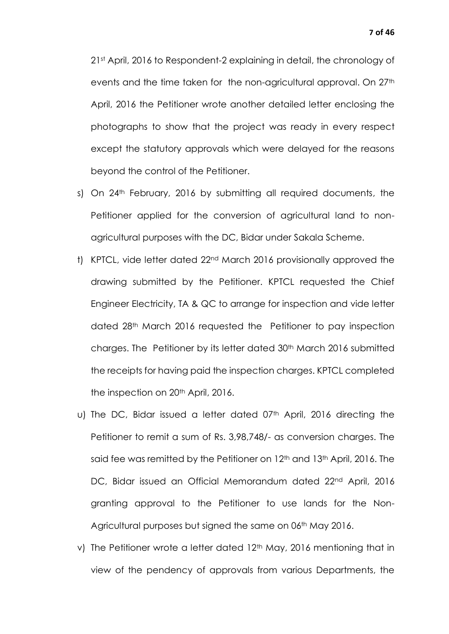21st April, 2016 to Respondent-2 explaining in detail, the chronology of events and the time taken for the non-agricultural approval. On 27<sup>th</sup> April, 2016 the Petitioner wrote another detailed letter enclosing the photographs to show that the project was ready in every respect except the statutory approvals which were delayed for the reasons beyond the control of the Petitioner.

- s) On 24<sup>th</sup> February, 2016 by submitting all required documents, the Petitioner applied for the conversion of agricultural land to nonagricultural purposes with the DC, Bidar under Sakala Scheme.
- t) KPTCL, vide letter dated 22nd March 2016 provisionally approved the drawing submitted by the Petitioner. KPTCL requested the Chief Engineer Electricity, TA & QC to arrange for inspection and vide letter dated 28th March 2016 requested the Petitioner to pay inspection charges. The Petitioner by its letter dated 30th March 2016 submitted the receipts for having paid the inspection charges. KPTCL completed the inspection on 20<sup>th</sup> April, 2016.
- u) The DC, Bidar issued a letter dated 07th April, 2016 directing the Petitioner to remit a sum of Rs. 3,98,748/- as conversion charges. The said fee was remitted by the Petitioner on 12<sup>th</sup> and 13<sup>th</sup> April, 2016. The DC, Bidar issued an Official Memorandum dated 22nd April, 2016 granting approval to the Petitioner to use lands for the Non-Agricultural purposes but signed the same on 06th May 2016.
- v) The Petitioner wrote a letter dated 12<sup>th</sup> May, 2016 mentioning that in view of the pendency of approvals from various Departments, the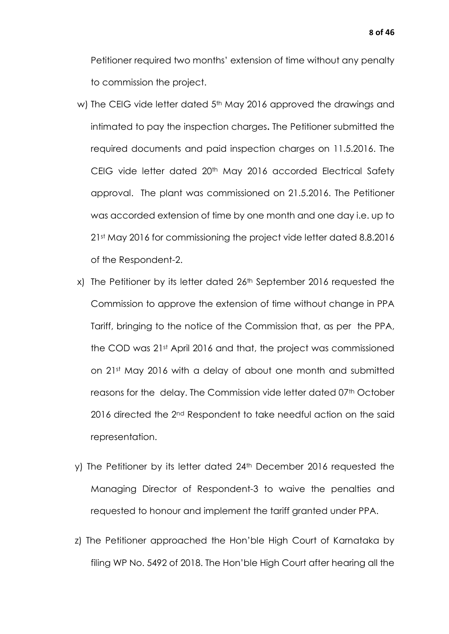Petitioner required two months' extension of time without any penalty to commission the project.

- w) The CEIG vide letter dated 5<sup>th</sup> May 2016 approved the drawings and intimated to pay the inspection charges**.** The Petitioner submitted the required documents and paid inspection charges on 11.5.2016. The CEIG vide letter dated 20<sup>th</sup> May 2016 accorded Electrical Safety approval. The plant was commissioned on 21.5.2016. The Petitioner was accorded extension of time by one month and one day i.e. up to 21st May 2016 for commissioning the project vide letter dated 8.8.2016 of the Respondent-2.
- x) The Petitioner by its letter dated 26<sup>th</sup> September 2016 requested the Commission to approve the extension of time without change in PPA Tariff, bringing to the notice of the Commission that, as per the PPA, the COD was 21st April 2016 and that, the project was commissioned on 21st May 2016 with a delay of about one month and submitted reasons for the delay. The Commission vide letter dated 07th October 2016 directed the 2<sup>nd</sup> Respondent to take needful action on the said representation.
- y) The Petitioner by its letter dated 24<sup>th</sup> December 2016 requested the Managing Director of Respondent-3 to waive the penalties and requested to honour and implement the tariff granted under PPA.
- z) The Petitioner approached the Hon'ble High Court of Karnataka by filing WP No. 5492 of 2018. The Hon'ble High Court after hearing all the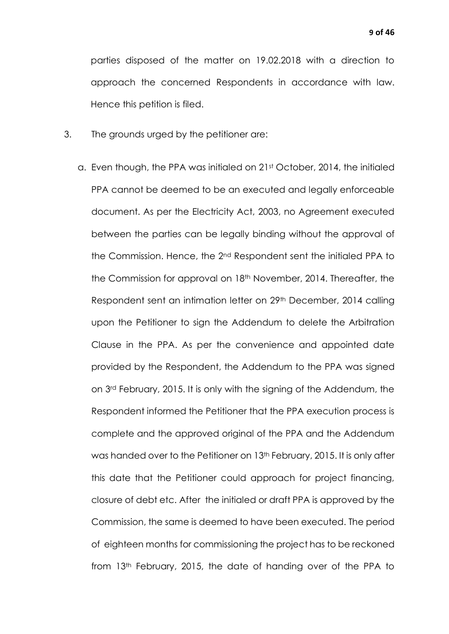parties disposed of the matter on 19.02.2018 with a direction to approach the concerned Respondents in accordance with law. Hence this petition is filed.

- 3. The grounds urged by the petitioner are:
	- a. Even though, the PPA was initialed on 21st October, 2014, the initialed PPA cannot be deemed to be an executed and legally enforceable document. As per the Electricity Act, 2003, no Agreement executed between the parties can be legally binding without the approval of the Commission. Hence, the 2nd Respondent sent the initialed PPA to the Commission for approval on 18<sup>th</sup> November, 2014. Thereafter, the Respondent sent an intimation letter on 29th December, 2014 calling upon the Petitioner to sign the Addendum to delete the Arbitration Clause in the PPA. As per the convenience and appointed date provided by the Respondent, the Addendum to the PPA was signed on 3rd February, 2015. It is only with the signing of the Addendum, the Respondent informed the Petitioner that the PPA execution process is complete and the approved original of the PPA and the Addendum was handed over to the Petitioner on 13<sup>th</sup> February, 2015. It is only after this date that the Petitioner could approach for project financing, closure of debt etc. After the initialed or draft PPA is approved by the Commission, the same is deemed to have been executed. The period of eighteen months for commissioning the project has to be reckoned from 13th February, 2015, the date of handing over of the PPA to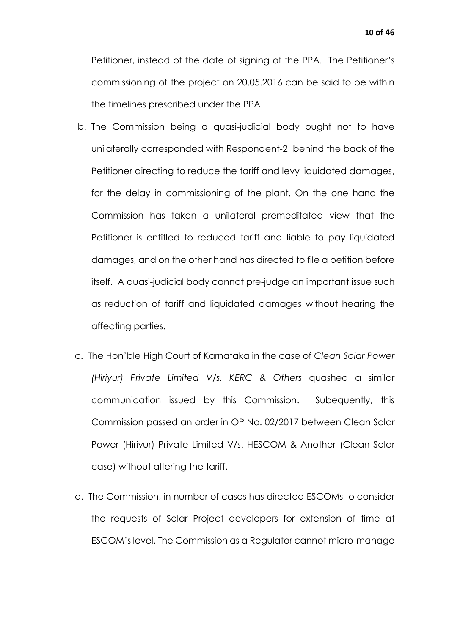Petitioner, instead of the date of signing of the PPA. The Petitioner's commissioning of the project on 20.05.2016 can be said to be within the timelines prescribed under the PPA.

- b. The Commission being a quasi-judicial body ought not to have unilaterally corresponded with Respondent-2 behind the back of the Petitioner directing to reduce the tariff and levy liquidated damages, for the delay in commissioning of the plant. On the one hand the Commission has taken a unilateral premeditated view that the Petitioner is entitled to reduced tariff and liable to pay liquidated damages, and on the other hand has directed to file a petition before itself. A quasi-judicial body cannot pre-judge an important issue such as reduction of tariff and liquidated damages without hearing the affecting parties.
- c. The Hon'ble High Court of Karnataka in the case of *Clean Solar Power (Hiriyur) Private Limited V/s. KERC & Others* quashed a similar communication issued by this Commission. Subequently, this Commission passed an order in OP No. 02/2017 between Clean Solar Power (Hiriyur) Private Limited V/s. HESCOM & Another (Clean Solar case) without altering the tariff.
- d. The Commission, in number of cases has directed ESCOMs to consider the requests of Solar Project developers for extension of time at ESCOM's level. The Commission as a Regulator cannot micro-manage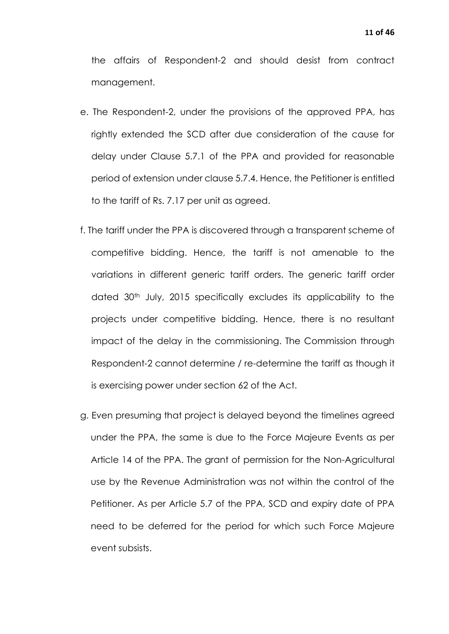the affairs of Respondent-2 and should desist from contract management.

- e. The Respondent-2, under the provisions of the approved PPA, has rightly extended the SCD after due consideration of the cause for delay under Clause 5.7.1 of the PPA and provided for reasonable period of extension under clause 5.7.4. Hence, the Petitioner is entitled to the tariff of Rs. 7.17 per unit as agreed.
- f. The tariff under the PPA is discovered through a transparent scheme of competitive bidding. Hence, the tariff is not amenable to the variations in different generic tariff orders. The generic tariff order dated 30th July, 2015 specifically excludes its applicability to the projects under competitive bidding. Hence, there is no resultant impact of the delay in the commissioning. The Commission through Respondent-2 cannot determine / re-determine the tariff as though it is exercising power under section 62 of the Act.
- g. Even presuming that project is delayed beyond the timelines agreed under the PPA, the same is due to the Force Majeure Events as per Article 14 of the PPA. The grant of permission for the Non-Agricultural use by the Revenue Administration was not within the control of the Petitioner. As per Article 5.7 of the PPA, SCD and expiry date of PPA need to be deferred for the period for which such Force Majeure event subsists.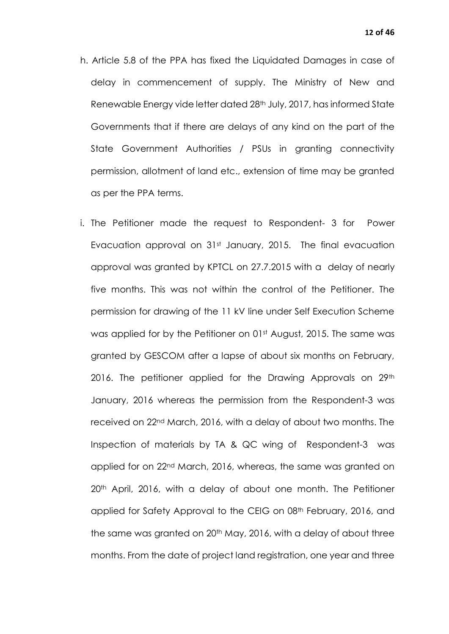- h. Article 5.8 of the PPA has fixed the Liquidated Damages in case of delay in commencement of supply. The Ministry of New and Renewable Energy vide letter dated 28<sup>th</sup> July, 2017, has informed State Governments that if there are delays of any kind on the part of the State Government Authorities / PSUs in granting connectivity permission, allotment of land etc., extension of time may be granted as per the PPA terms.
- i. The Petitioner made the request to Respondent- 3 for Power Evacuation approval on 31st January, 2015. The final evacuation approval was granted by KPTCL on 27.7.2015 with a delay of nearly five months. This was not within the control of the Petitioner. The permission for drawing of the 11 kV line under Self Execution Scheme was applied for by the Petitioner on 01st August, 2015. The same was granted by GESCOM after a lapse of about six months on February, 2016. The petitioner applied for the Drawing Approvals on 29<sup>th</sup> January, 2016 whereas the permission from the Respondent-3 was received on 22nd March, 2016, with a delay of about two months. The Inspection of materials by TA & QC wing of Respondent-3 was applied for on 22nd March, 2016, whereas, the same was granted on 20<sup>th</sup> April, 2016, with a delay of about one month. The Petitioner applied for Safety Approval to the CEIG on 08th February, 2016, and the same was granted on 20<sup>th</sup> May, 2016, with a delay of about three months. From the date of project land registration, one year and three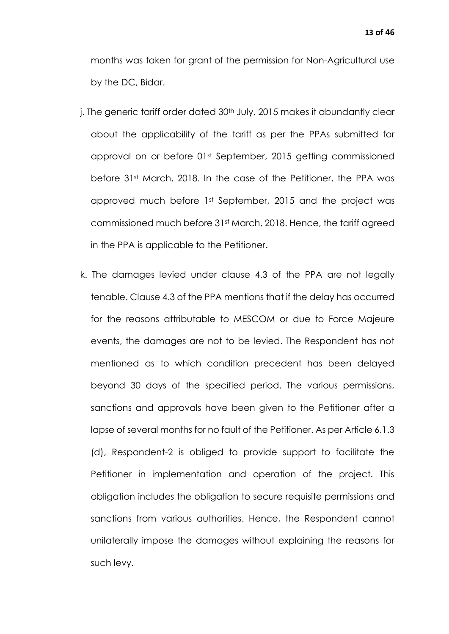months was taken for grant of the permission for Non-Agricultural use by the DC, Bidar.

- j. The generic tariff order dated 30<sup>th</sup> July, 2015 makes it abundantly clear about the applicability of the tariff as per the PPAs submitted for approval on or before 01st September, 2015 getting commissioned before 31st March, 2018. In the case of the Petitioner, the PPA was approved much before 1st September, 2015 and the project was commissioned much before 31st March, 2018. Hence, the tariff agreed in the PPA is applicable to the Petitioner.
- k. The damages levied under clause 4.3 of the PPA are not legally tenable. Clause 4.3 of the PPA mentions that if the delay has occurred for the reasons attributable to MESCOM or due to Force Majeure events, the damages are not to be levied. The Respondent has not mentioned as to which condition precedent has been delayed beyond 30 days of the specified period. The various permissions, sanctions and approvals have been given to the Petitioner after a lapse of several months for no fault of the Petitioner. As per Article 6.1.3 (d), Respondent-2 is obliged to provide support to facilitate the Petitioner in implementation and operation of the project. This obligation includes the obligation to secure requisite permissions and sanctions from various authorities. Hence, the Respondent cannot unilaterally impose the damages without explaining the reasons for such levy.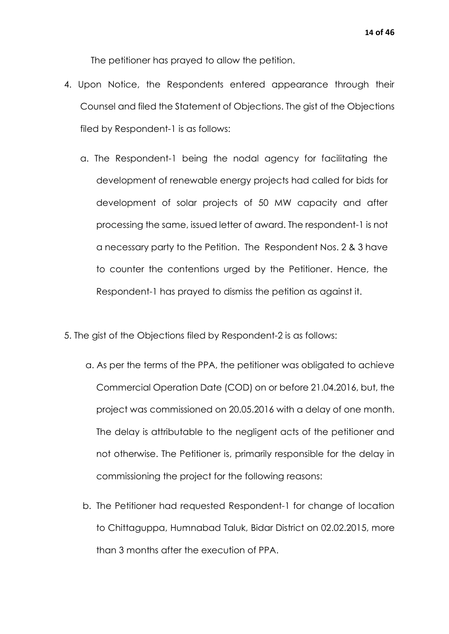The petitioner has prayed to allow the petition.

- 4. Upon Notice, the Respondents entered appearance through their Counsel and filed the Statement of Objections. The gist of the Objections filed by Respondent-1 is as follows:
	- a. The Respondent-1 being the nodal agency for facilitating the development of renewable energy projects had called for bids for development of solar projects of 50 MW capacity and after processing the same, issued letter of award. The respondent-1 is not a necessary party to the Petition. The Respondent Nos. 2 & 3 have to counter the contentions urged by the Petitioner. Hence, the Respondent-1 has prayed to dismiss the petition as against it.
- 5. The gist of the Objections filed by Respondent-2 is as follows:
	- a. As per the terms of the PPA, the petitioner was obligated to achieve Commercial Operation Date (COD) on or before 21.04.2016, but, the project was commissioned on 20.05.2016 with a delay of one month. The delay is attributable to the negligent acts of the petitioner and not otherwise. The Petitioner is, primarily responsible for the delay in commissioning the project for the following reasons:
	- b. The Petitioner had requested Respondent-1 for change of location to Chittaguppa, Humnabad Taluk, Bidar District on 02.02.2015, more than 3 months after the execution of PPA.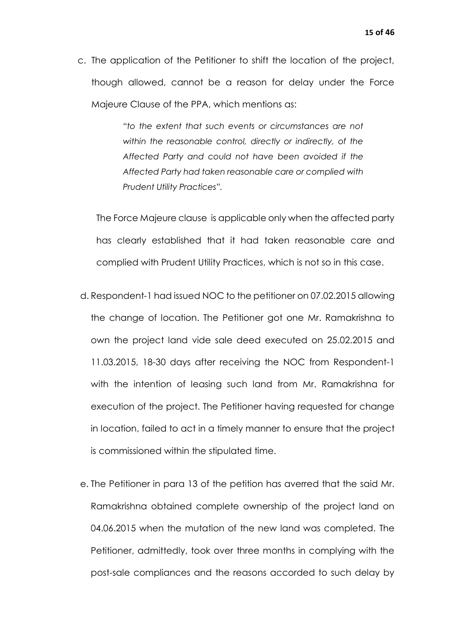c. The application of the Petitioner to shift the location of the project, though allowed, cannot be a reason for delay under the Force Majeure Clause of the PPA, which mentions as:

> *"to the extent that such events or circumstances are not within the reasonable control, directly or indirectly, of the Affected Party and could not have been avoided if the Affected Party had taken reasonable care or complied with Prudent Utility Practices".*

The Force Majeure clause is applicable only when the affected party has clearly established that it had taken reasonable care and complied with Prudent Utility Practices, which is not so in this case.

- d. Respondent-1 had issued NOC to the petitioner on 07.02.2015 allowing the change of location. The Petitioner got one Mr. Ramakrishna to own the project land vide sale deed executed on 25.02.2015 and 11.03.2015, 18-30 days after receiving the NOC from Respondent-1 with the intention of leasing such land from Mr. Ramakrishna for execution of the project. The Petitioner having requested for change in location, failed to act in a timely manner to ensure that the project is commissioned within the stipulated time.
- e. The Petitioner in para 13 of the petition has averred that the said Mr. Ramakrishna obtained complete ownership of the project land on 04.06.2015 when the mutation of the new land was completed. The Petitioner, admittedly, took over three months in complying with the post-sale compliances and the reasons accorded to such delay by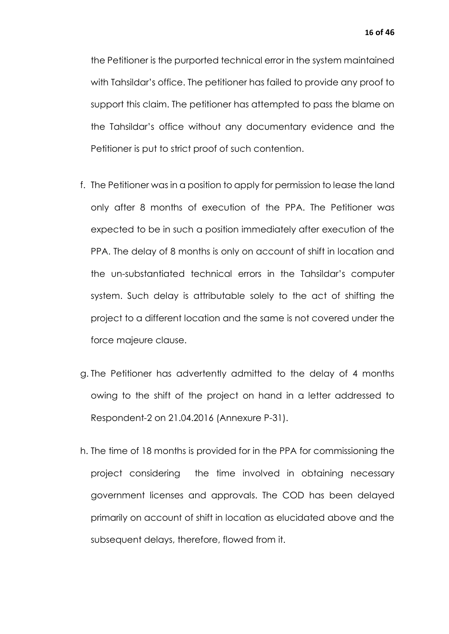the Petitioner is the purported technical error in the system maintained with Tahsildar's office. The petitioner has failed to provide any proof to support this claim. The petitioner has attempted to pass the blame on the Tahsildar's office without any documentary evidence and the Petitioner is put to strict proof of such contention.

- f. The Petitioner was in a position to apply for permission to lease the land only after 8 months of execution of the PPA. The Petitioner was expected to be in such a position immediately after execution of the PPA. The delay of 8 months is only on account of shift in location and the un-substantiated technical errors in the Tahsildar's computer system. Such delay is attributable solely to the act of shifting the project to a different location and the same is not covered under the force majeure clause.
- g. The Petitioner has advertently admitted to the delay of 4 months owing to the shift of the project on hand in a letter addressed to Respondent-2 on 21.04.2016 (Annexure P-31).
- h. The time of 18 months is provided for in the PPA for commissioning the project considering the time involved in obtaining necessary government licenses and approvals. The COD has been delayed primarily on account of shift in location as elucidated above and the subsequent delays, therefore, flowed from it.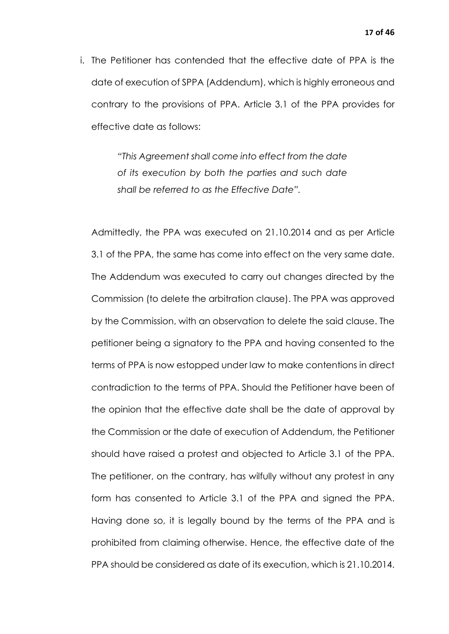i. The Petitioner has contended that the effective date of PPA is the date of execution of SPPA (Addendum), which is highly erroneous and contrary to the provisions of PPA. Article 3.1 of the PPA provides for effective date as follows:

> *"This Agreement shall come into effect from the date of its execution by both the parties and such date shall be referred to as the Effective Date".*

Admittedly, the PPA was executed on 21.10.2014 and as per Article 3.1 of the PPA, the same has come into effect on the very same date. The Addendum was executed to carry out changes directed by the Commission (to delete the arbitration clause). The PPA was approved by the Commission, with an observation to delete the said clause. The petitioner being a signatory to the PPA and having consented to the terms of PPA is now estopped under law to make contentions in direct contradiction to the terms of PPA. Should the Petitioner have been of the opinion that the effective date shall be the date of approval by the Commission or the date of execution of Addendum, the Petitioner should have raised a protest and objected to Article 3.1 of the PPA. The petitioner, on the contrary, has wilfully without any protest in any form has consented to Article 3.1 of the PPA and signed the PPA. Having done so, it is legally bound by the terms of the PPA and is prohibited from claiming otherwise. Hence, the effective date of the PPA should be considered as date of its execution, which is 21.10.2014.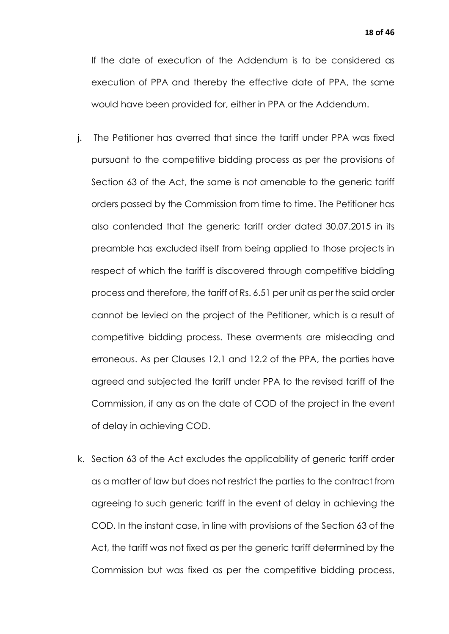If the date of execution of the Addendum is to be considered as execution of PPA and thereby the effective date of PPA, the same would have been provided for, either in PPA or the Addendum.

- j. The Petitioner has averred that since the tariff under PPA was fixed pursuant to the competitive bidding process as per the provisions of Section 63 of the Act, the same is not amenable to the generic tariff orders passed by the Commission from time to time. The Petitioner has also contended that the generic tariff order dated 30.07.2015 in its preamble has excluded itself from being applied to those projects in respect of which the tariff is discovered through competitive bidding process and therefore, the tariff of Rs. 6.51 per unit as per the said order cannot be levied on the project of the Petitioner, which is a result of competitive bidding process. These averments are misleading and erroneous. As per Clauses 12.1 and 12.2 of the PPA, the parties have agreed and subjected the tariff under PPA to the revised tariff of the Commission, if any as on the date of COD of the project in the event of delay in achieving COD.
- k. Section 63 of the Act excludes the applicability of generic tariff order as a matter of law but does not restrict the parties to the contract from agreeing to such generic tariff in the event of delay in achieving the COD. In the instant case, in line with provisions of the Section 63 of the Act, the tariff was not fixed as per the generic tariff determined by the Commission but was fixed as per the competitive bidding process,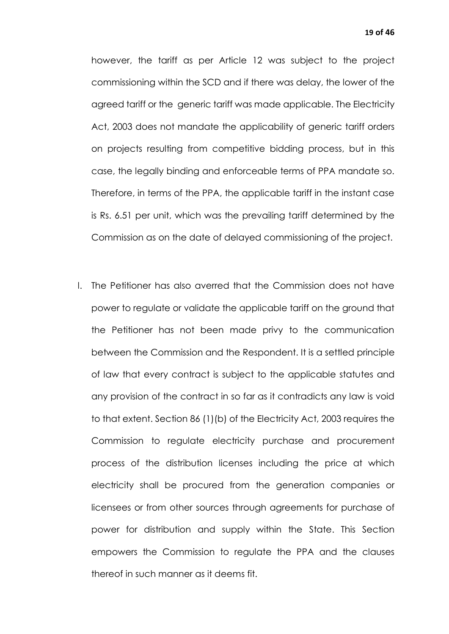however, the tariff as per Article 12 was subject to the project commissioning within the SCD and if there was delay, the lower of the agreed tariff or the generic tariff was made applicable. The Electricity Act, 2003 does not mandate the applicability of generic tariff orders on projects resulting from competitive bidding process, but in this case, the legally binding and enforceable terms of PPA mandate so. Therefore, in terms of the PPA, the applicable tariff in the instant case is Rs. 6.51 per unit, which was the prevailing tariff determined by the Commission as on the date of delayed commissioning of the project.

l. The Petitioner has also averred that the Commission does not have power to regulate or validate the applicable tariff on the ground that the Petitioner has not been made privy to the communication between the Commission and the Respondent. It is a settled principle of law that every contract is subject to the applicable statutes and any provision of the contract in so far as it contradicts any law is void to that extent. Section 86 (1)(b) of the Electricity Act, 2003 requires the Commission to regulate electricity purchase and procurement process of the distribution licenses including the price at which electricity shall be procured from the generation companies or licensees or from other sources through agreements for purchase of power for distribution and supply within the State. This Section empowers the Commission to regulate the PPA and the clauses thereof in such manner as it deems fit.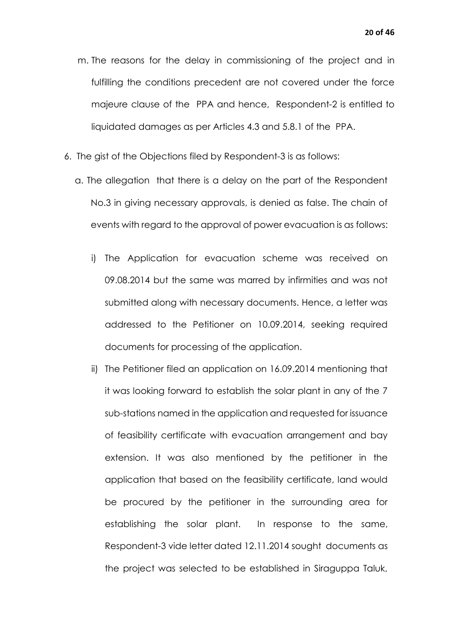- m. The reasons for the delay in commissioning of the project and in fulfilling the conditions precedent are not covered under the force majeure clause of the PPA and hence, Respondent-2 is entitled to liquidated damages as per Articles 4.3 and 5.8.1 of the PPA.
- 6. The gist of the Objections filed by Respondent-3 is as follows:
	- a. The allegation that there is a delay on the part of the Respondent No.3 in giving necessary approvals, is denied as false. The chain of events with regard to the approval of power evacuation is as follows:
		- i) The Application for evacuation scheme was received on 09.08.2014 but the same was marred by infirmities and was not submitted along with necessary documents. Hence, a letter was addressed to the Petitioner on 10.09.2014, seeking required documents for processing of the application.
		- ii) The Petitioner filed an application on 16.09.2014 mentioning that it was looking forward to establish the solar plant in any of the 7 sub-stations named in the application and requested for issuance of feasibility certificate with evacuation arrangement and bay extension. It was also mentioned by the petitioner in the application that based on the feasibility certificate, land would be procured by the petitioner in the surrounding area for establishing the solar plant. In response to the same, Respondent-3 vide letter dated 12.11.2014 sought documents as the project was selected to be established in Siraguppa Taluk,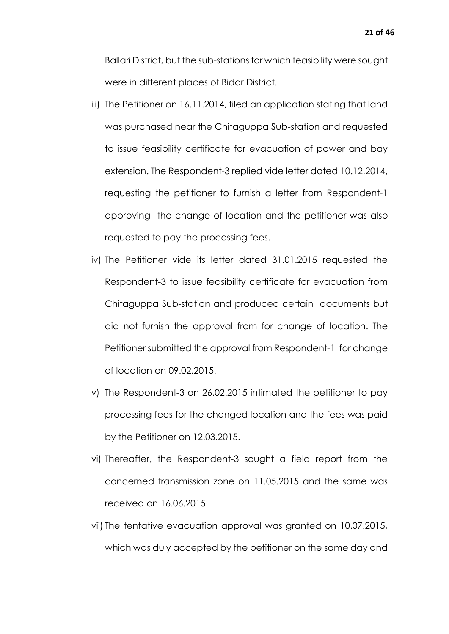Ballari District, but the sub-stations for which feasibility were sought were in different places of Bidar District.

- iii) The Petitioner on 16.11.2014, filed an application stating that land was purchased near the Chitaguppa Sub-station and requested to issue feasibility certificate for evacuation of power and bay extension. The Respondent-3 replied vide letter dated 10.12.2014, requesting the petitioner to furnish a letter from Respondent-1 approving the change of location and the petitioner was also requested to pay the processing fees.
- iv) The Petitioner vide its letter dated 31.01.2015 requested the Respondent-3 to issue feasibility certificate for evacuation from Chitaguppa Sub-station and produced certain documents but did not furnish the approval from for change of location. The Petitioner submitted the approval from Respondent-1 for change of location on 09.02.2015.
- v) The Respondent-3 on 26.02.2015 intimated the petitioner to pay processing fees for the changed location and the fees was paid by the Petitioner on 12.03.2015.
- vi) Thereafter, the Respondent-3 sought a field report from the concerned transmission zone on 11.05.2015 and the same was received on 16.06.2015.
- vii) The tentative evacuation approval was granted on 10.07.2015, which was duly accepted by the petitioner on the same day and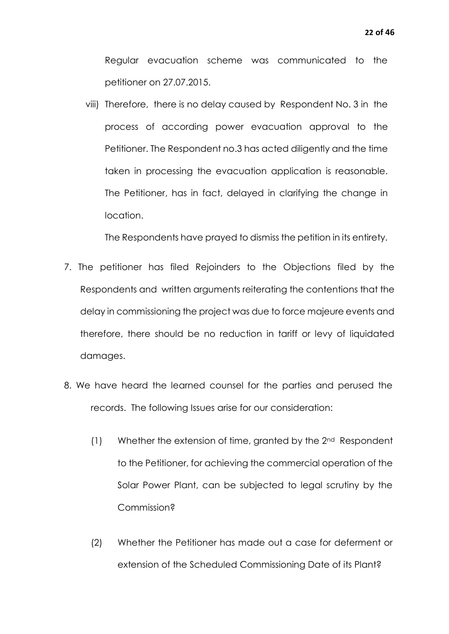Regular evacuation scheme was communicated to the petitioner on 27.07.2015.

viii) Therefore, there is no delay caused by Respondent No. 3 in the process of according power evacuation approval to the Petitioner. The Respondent no.3 has acted diligently and the time taken in processing the evacuation application is reasonable. The Petitioner, has in fact, delayed in clarifying the change in location.

The Respondents have prayed to dismiss the petition in its entirety.

- 7. The petitioner has filed Rejoinders to the Objections filed by the Respondents and written arguments reiterating the contentions that the delay in commissioning the project was due to force majeure events and therefore, there should be no reduction in tariff or levy of liquidated damages.
- 8. We have heard the learned counsel for the parties and perused the records. The following Issues arise for our consideration:
	- $(1)$  Whether the extension of time, granted by the  $2<sup>nd</sup>$  Respondent to the Petitioner, for achieving the commercial operation of the Solar Power Plant, can be subjected to legal scrutiny by the Commission?
	- (2) Whether the Petitioner has made out a case for deferment or extension of the Scheduled Commissioning Date of its Plant?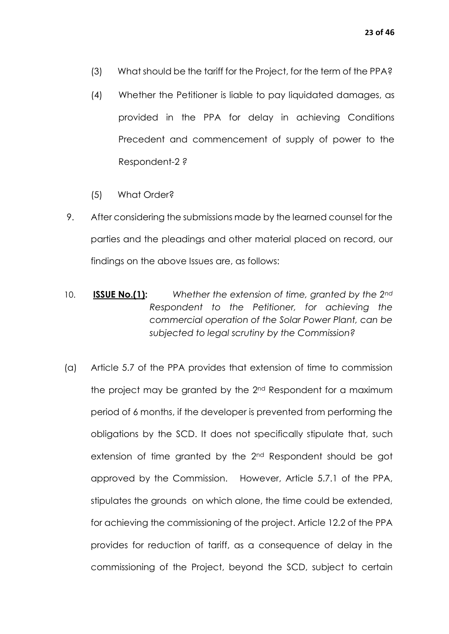- (3) What should be the tariff for the Project, for the term of the PPA?
- (4) Whether the Petitioner is liable to pay liquidated damages, as provided in the PPA for delay in achieving Conditions Precedent and commencement of supply of power to the Respondent-2 *?*
- (5) What Order?
- 9. After considering the submissions made by the learned counsel for the parties and the pleadings and other material placed on record, our findings on the above Issues are, as follows:
- 10. **ISSUE No.(1):** *Whether the extension of time, granted by the 2nd Respondent to the Petitioner, for achieving the commercial operation of the Solar Power Plant, can be subjected to legal scrutiny by the Commission?*
- (a) Article 5.7 of the PPA provides that extension of time to commission the project may be granted by the 2nd Respondent for a maximum period of 6 months, if the developer is prevented from performing the obligations by the SCD. It does not specifically stipulate that, such extension of time granted by the 2nd Respondent should be got approved by the Commission. However, Article 5.7.1 of the PPA, stipulates the grounds on which alone, the time could be extended, for achieving the commissioning of the project. Article 12.2 of the PPA provides for reduction of tariff, as a consequence of delay in the commissioning of the Project, beyond the SCD, subject to certain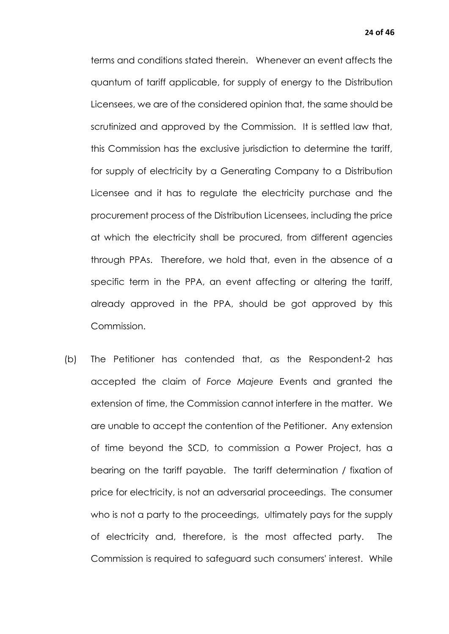terms and conditions stated therein. Whenever an event affects the quantum of tariff applicable, for supply of energy to the Distribution Licensees, we are of the considered opinion that, the same should be scrutinized and approved by the Commission. It is settled law that, this Commission has the exclusive jurisdiction to determine the tariff, for supply of electricity by a Generating Company to a Distribution Licensee and it has to regulate the electricity purchase and the procurement process of the Distribution Licensees, including the price at which the electricity shall be procured, from different agencies through PPAs. Therefore, we hold that, even in the absence of a specific term in the PPA, an event affecting or altering the tariff, already approved in the PPA, should be got approved by this Commission.

(b) The Petitioner has contended that, as the Respondent-2 has accepted the claim of *Force Majeure* Events and granted the extension of time, the Commission cannot interfere in the matter. We are unable to accept the contention of the Petitioner. Any extension of time beyond the SCD, to commission a Power Project, has a bearing on the tariff payable. The tariff determination / fixation of price for electricity, is not an adversarial proceedings. The consumer who is not a party to the proceedings, ultimately pays for the supply of electricity and, therefore, is the most affected party. The Commission is required to safeguard such consumers' interest. While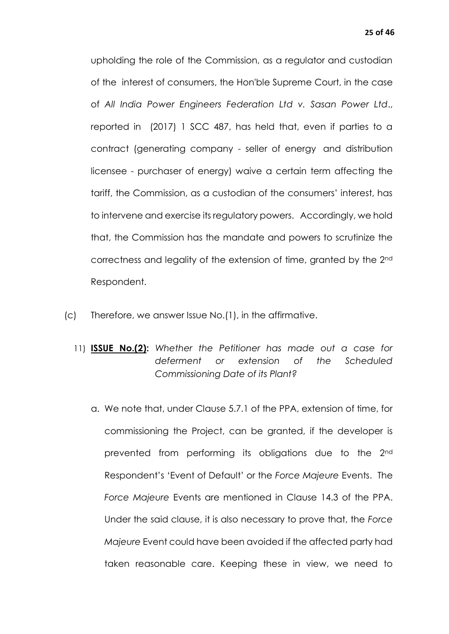upholding the role of the Commission, as a regulator and custodian of the interest of consumers, the Hon'ble Supreme Court, in the case of *All India Power Engineers Federation Ltd v. Sasan Power Ltd*., reported in (2017) 1 SCC 487, has held that, even if parties to a contract (generating company - seller of energy and distribution licensee - purchaser of energy) waive a certain term affecting the tariff, the Commission, as a custodian of the consumers' interest, has to intervene and exercise its regulatory powers. Accordingly, we hold that, the Commission has the mandate and powers to scrutinize the correctness and legality of the extension of time, granted by the 2nd Respondent.

- (c) Therefore, we answer Issue No.(1), in the affirmative.
	- 11) **ISSUE No.(2):** *Whether the Petitioner has made out a case for deferment or extension of the Scheduled Commissioning Date of its Plant?*
		- a. We note that, under Clause 5.7.1 of the PPA, extension of time, for commissioning the Project, can be granted, if the developer is prevented from performing its obligations due to the 2nd Respondent's 'Event of Default' or the *Force Majeure* Events. The *Force Majeure* Events are mentioned in Clause 14.3 of the PPA. Under the said clause, it is also necessary to prove that, the *Force Majeure* Event could have been avoided if the affected party had taken reasonable care. Keeping these in view, we need to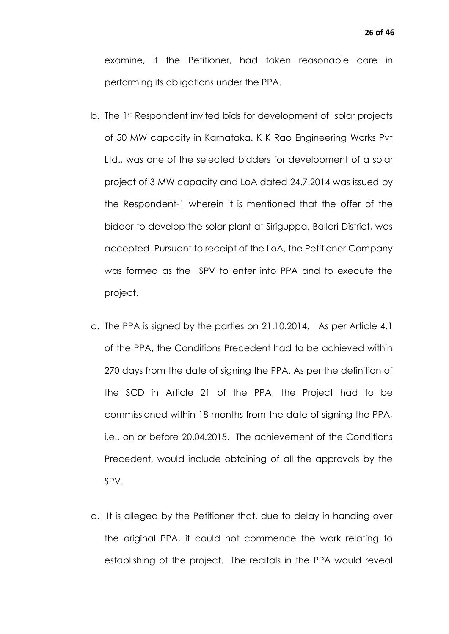examine, if the Petitioner, had taken reasonable care in performing its obligations under the PPA.

- b. The 1st Respondent invited bids for development of solar projects of 50 MW capacity in Karnataka. K K Rao Engineering Works Pvt Ltd., was one of the selected bidders for development of a solar project of 3 MW capacity and LoA dated 24.7.2014 was issued by the Respondent-1 wherein it is mentioned that the offer of the bidder to develop the solar plant at Siriguppa, Ballari District, was accepted. Pursuant to receipt of the LoA, the Petitioner Company was formed as the SPV to enter into PPA and to execute the project.
- c. The PPA is signed by the parties on 21.10.2014. As per Article 4.1 of the PPA, the Conditions Precedent had to be achieved within 270 days from the date of signing the PPA. As per the definition of the SCD in Article 21 of the PPA, the Project had to be commissioned within 18 months from the date of signing the PPA, i.e., on or before 20.04.2015. The achievement of the Conditions Precedent, would include obtaining of all the approvals by the SPV.
- d. It is alleged by the Petitioner that, due to delay in handing over the original PPA, it could not commence the work relating to establishing of the project. The recitals in the PPA would reveal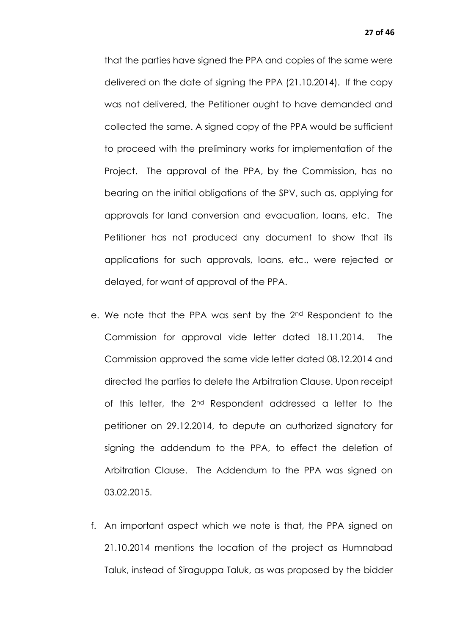that the parties have signed the PPA and copies of the same were delivered on the date of signing the PPA (21.10.2014). If the copy was not delivered, the Petitioner ought to have demanded and collected the same. A signed copy of the PPA would be sufficient to proceed with the preliminary works for implementation of the Project. The approval of the PPA, by the Commission, has no bearing on the initial obligations of the SPV, such as, applying for approvals for land conversion and evacuation, loans, etc. The Petitioner has not produced any document to show that its applications for such approvals, loans, etc., were rejected or delayed, for want of approval of the PPA.

- e. We note that the PPA was sent by the 2nd Respondent to the Commission for approval vide letter dated 18.11.2014. The Commission approved the same vide letter dated 08.12.2014 and directed the parties to delete the Arbitration Clause. Upon receipt of this letter, the 2nd Respondent addressed a letter to the petitioner on 29.12.2014, to depute an authorized signatory for signing the addendum to the PPA, to effect the deletion of Arbitration Clause. The Addendum to the PPA was signed on 03.02.2015.
- f. An important aspect which we note is that, the PPA signed on 21.10.2014 mentions the location of the project as Humnabad Taluk, instead of Siraguppa Taluk, as was proposed by the bidder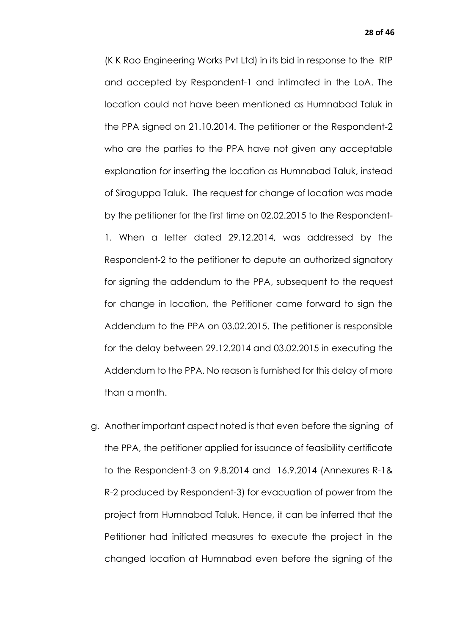(K K Rao Engineering Works Pvt Ltd) in its bid in response to the RfP and accepted by Respondent-1 and intimated in the LoA. The location could not have been mentioned as Humnabad Taluk in the PPA signed on 21.10.2014. The petitioner or the Respondent-2 who are the parties to the PPA have not given any acceptable explanation for inserting the location as Humnabad Taluk, instead of Siraguppa Taluk. The request for change of location was made by the petitioner for the first time on 02.02.2015 to the Respondent-1. When a letter dated 29.12.2014, was addressed by the Respondent-2 to the petitioner to depute an authorized signatory for signing the addendum to the PPA, subsequent to the request for change in location, the Petitioner came forward to sign the Addendum to the PPA on 03.02.2015. The petitioner is responsible for the delay between 29.12.2014 and 03.02.2015 in executing the Addendum to the PPA. No reason is furnished for this delay of more than a month.

g. Another important aspect noted is that even before the signing of the PPA, the petitioner applied for issuance of feasibility certificate to the Respondent-3 on 9.8.2014 and 16.9.2014 (Annexures R-1& R-2 produced by Respondent-3) for evacuation of power from the project from Humnabad Taluk. Hence, it can be inferred that the Petitioner had initiated measures to execute the project in the changed location at Humnabad even before the signing of the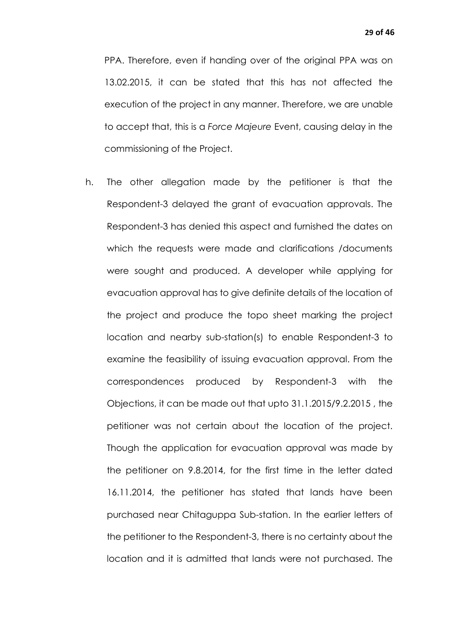PPA. Therefore, even if handing over of the original PPA was on 13.02.2015, it can be stated that this has not affected the execution of the project in any manner. Therefore, we are unable to accept that, this is a *Force Majeure* Event, causing delay in the commissioning of the Project.

h. The other allegation made by the petitioner is that the Respondent-3 delayed the grant of evacuation approvals. The Respondent-3 has denied this aspect and furnished the dates on which the requests were made and clarifications /documents were sought and produced. A developer while applying for evacuation approval has to give definite details of the location of the project and produce the topo sheet marking the project location and nearby sub-station(s) to enable Respondent-3 to examine the feasibility of issuing evacuation approval. From the correspondences produced by Respondent-3 with the Objections, it can be made out that upto 31.1.2015/9.2.2015 , the petitioner was not certain about the location of the project. Though the application for evacuation approval was made by the petitioner on 9.8.2014, for the first time in the letter dated 16.11.2014, the petitioner has stated that lands have been purchased near Chitaguppa Sub-station. In the earlier letters of the petitioner to the Respondent-3, there is no certainty about the location and it is admitted that lands were not purchased. The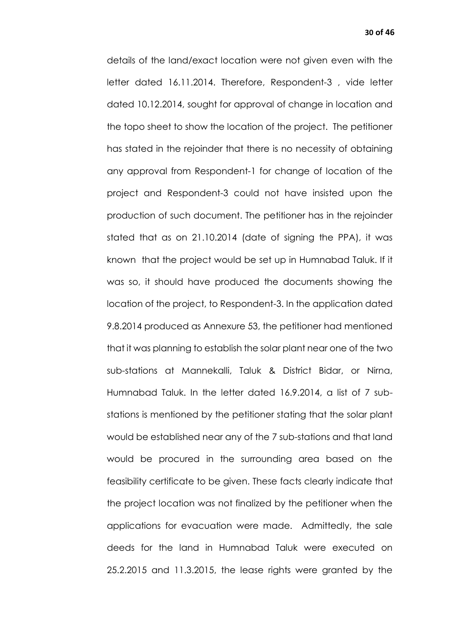details of the land/exact location were not given even with the letter dated 16.11.2014. Therefore, Respondent-3 , vide letter dated 10.12.2014, sought for approval of change in location and the topo sheet to show the location of the project. The petitioner has stated in the rejoinder that there is no necessity of obtaining any approval from Respondent-1 for change of location of the project and Respondent-3 could not have insisted upon the production of such document. The petitioner has in the rejoinder stated that as on 21.10.2014 (date of signing the PPA), it was known that the project would be set up in Humnabad Taluk. If it was so, it should have produced the documents showing the location of the project, to Respondent-3. In the application dated 9.8.2014 produced as Annexure 53, the petitioner had mentioned that it was planning to establish the solar plant near one of the two sub-stations at Mannekalli, Taluk & District Bidar, or Nirna, Humnabad Taluk. In the letter dated 16.9.2014, a list of 7 substations is mentioned by the petitioner stating that the solar plant would be established near any of the 7 sub-stations and that land would be procured in the surrounding area based on the feasibility certificate to be given. These facts clearly indicate that the project location was not finalized by the petitioner when the applications for evacuation were made. Admittedly, the sale deeds for the land in Humnabad Taluk were executed on 25.2.2015 and 11.3.2015, the lease rights were granted by the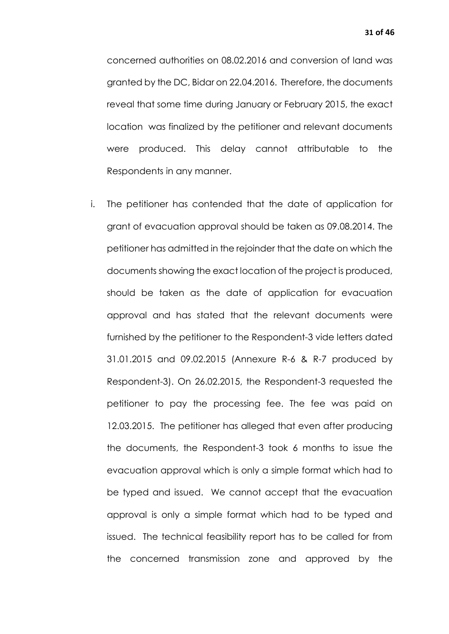concerned authorities on 08.02.2016 and conversion of land was granted by the DC, Bidar on 22.04.2016. Therefore, the documents reveal that some time during January or February 2015, the exact location was finalized by the petitioner and relevant documents were produced. This delay cannot attributable to the Respondents in any manner.

i. The petitioner has contended that the date of application for grant of evacuation approval should be taken as 09.08.2014. The petitioner has admitted in the rejoinder that the date on which the documents showing the exact location of the project is produced, should be taken as the date of application for evacuation approval and has stated that the relevant documents were furnished by the petitioner to the Respondent-3 vide letters dated 31.01.2015 and 09.02.2015 (Annexure R-6 & R-7 produced by Respondent-3). On 26.02.2015, the Respondent-3 requested the petitioner to pay the processing fee. The fee was paid on 12.03.2015. The petitioner has alleged that even after producing the documents, the Respondent-3 took 6 months to issue the evacuation approval which is only a simple format which had to be typed and issued. We cannot accept that the evacuation approval is only a simple format which had to be typed and issued. The technical feasibility report has to be called for from the concerned transmission zone and approved by the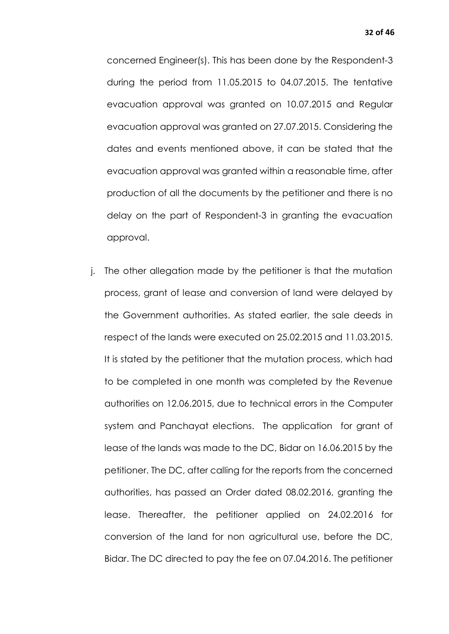concerned Engineer(s). This has been done by the Respondent-3 during the period from 11.05.2015 to 04.07.2015. The tentative evacuation approval was granted on 10.07.2015 and Regular evacuation approval was granted on 27.07.2015. Considering the dates and events mentioned above, it can be stated that the evacuation approval was granted within a reasonable time, after production of all the documents by the petitioner and there is no delay on the part of Respondent-3 in granting the evacuation approval.

j. The other allegation made by the petitioner is that the mutation process, grant of lease and conversion of land were delayed by the Government authorities. As stated earlier, the sale deeds in respect of the lands were executed on 25.02.2015 and 11.03.2015. It is stated by the petitioner that the mutation process, which had to be completed in one month was completed by the Revenue authorities on 12.06.2015, due to technical errors in the Computer system and Panchayat elections. The application for grant of lease of the lands was made to the DC, Bidar on 16.06.2015 by the petitioner. The DC, after calling for the reports from the concerned authorities, has passed an Order dated 08.02.2016, granting the lease. Thereafter, the petitioner applied on 24.02.2016 for conversion of the land for non agricultural use, before the DC, Bidar. The DC directed to pay the fee on 07.04.2016. The petitioner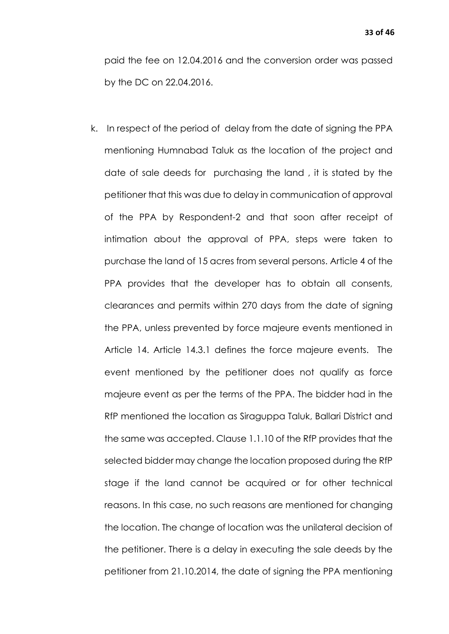paid the fee on 12.04.2016 and the conversion order was passed by the DC on 22.04.2016.

k. In respect of the period of delay from the date of signing the PPA mentioning Humnabad Taluk as the location of the project and date of sale deeds for purchasing the land , it is stated by the petitioner that this was due to delay in communication of approval of the PPA by Respondent-2 and that soon after receipt of intimation about the approval of PPA, steps were taken to purchase the land of 15 acres from several persons. Article 4 of the PPA provides that the developer has to obtain all consents, clearances and permits within 270 days from the date of signing the PPA, unless prevented by force majeure events mentioned in Article 14. Article 14.3.1 defines the force majeure events. The event mentioned by the petitioner does not qualify as force majeure event as per the terms of the PPA. The bidder had in the RfP mentioned the location as Siraguppa Taluk, Ballari District and the same was accepted. Clause 1.1.10 of the RfP provides that the selected bidder may change the location proposed during the RfP stage if the land cannot be acquired or for other technical reasons. In this case, no such reasons are mentioned for changing the location. The change of location was the unilateral decision of the petitioner. There is a delay in executing the sale deeds by the petitioner from 21.10.2014, the date of signing the PPA mentioning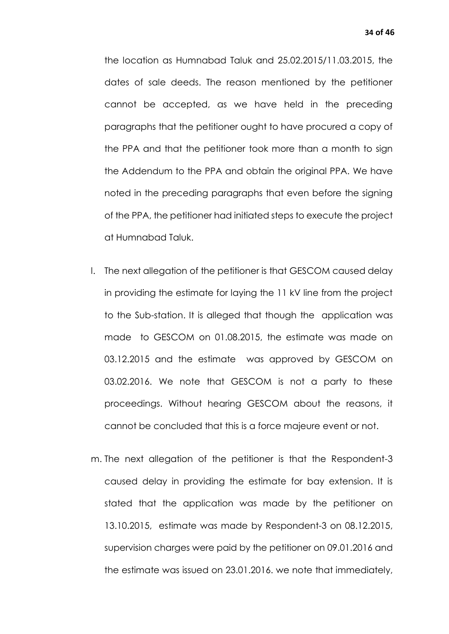the location as Humnabad Taluk and 25.02.2015/11.03.2015, the dates of sale deeds. The reason mentioned by the petitioner cannot be accepted, as we have held in the preceding paragraphs that the petitioner ought to have procured a copy of the PPA and that the petitioner took more than a month to sign the Addendum to the PPA and obtain the original PPA. We have noted in the preceding paragraphs that even before the signing of the PPA, the petitioner had initiated steps to execute the project at Humnabad Taluk.

- l. The next allegation of the petitioner is that GESCOM caused delay in providing the estimate for laying the 11 kV line from the project to the Sub-station. It is alleged that though the application was made to GESCOM on 01.08.2015, the estimate was made on 03.12.2015 and the estimate was approved by GESCOM on 03.02.2016. We note that GESCOM is not a party to these proceedings. Without hearing GESCOM about the reasons, it cannot be concluded that this is a force majeure event or not.
- m. The next allegation of the petitioner is that the Respondent-3 caused delay in providing the estimate for bay extension. It is stated that the application was made by the petitioner on 13.10.2015, estimate was made by Respondent-3 on 08.12.2015, supervision charges were paid by the petitioner on 09.01.2016 and the estimate was issued on 23.01.2016. we note that immediately,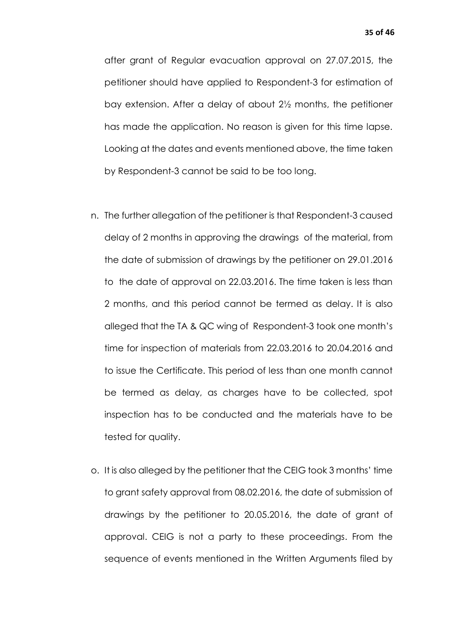after grant of Regular evacuation approval on 27.07.2015, the petitioner should have applied to Respondent-3 for estimation of bay extension. After a delay of about 2½ months, the petitioner has made the application. No reason is given for this time lapse. Looking at the dates and events mentioned above, the time taken by Respondent-3 cannot be said to be too long.

- n. The further allegation of the petitioner is that Respondent-3 caused delay of 2 months in approving the drawings of the material, from the date of submission of drawings by the petitioner on 29.01.2016 to the date of approval on 22.03.2016. The time taken is less than 2 months, and this period cannot be termed as delay. It is also alleged that the TA & QC wing of Respondent-3 took one month's time for inspection of materials from 22.03.2016 to 20.04.2016 and to issue the Certificate. This period of less than one month cannot be termed as delay, as charges have to be collected, spot inspection has to be conducted and the materials have to be tested for quality.
- o. It is also alleged by the petitioner that the CEIG took 3 months' time to grant safety approval from 08.02.2016, the date of submission of drawings by the petitioner to 20.05.2016, the date of grant of approval. CEIG is not a party to these proceedings. From the sequence of events mentioned in the Written Arguments filed by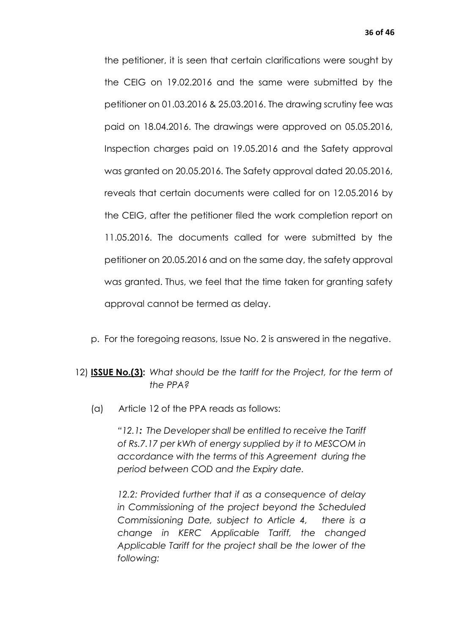the petitioner, it is seen that certain clarifications were sought by the CEIG on 19.02.2016 and the same were submitted by the petitioner on 01.03.2016 & 25.03.2016. The drawing scrutiny fee was paid on 18.04.2016. The drawings were approved on 05.05.2016, Inspection charges paid on 19.05.2016 and the Safety approval was granted on 20.05.2016. The Safety approval dated 20.05.2016, reveals that certain documents were called for on 12.05.2016 by the CEIG, after the petitioner filed the work completion report on 11.05.2016. The documents called for were submitted by the petitioner on 20.05.2016 and on the same day, the safety approval was granted. Thus, we feel that the time taken for granting safety approval cannot be termed as delay.

p. For the foregoing reasons, Issue No. 2 is answered in the negative.

## 12) **ISSUE No.(3):** *What should be the tariff for the Project, for the term of the PPA?*

(a) Article 12 of the PPA reads as follows:

*"12.1: The Developer shall be entitled to receive the Tariff of Rs.7.17 per kWh of energy supplied by it to MESCOM in accordance with the terms of this Agreement during the period between COD and the Expiry date.*

*12.2: Provided further that if as a consequence of delay in Commissioning of the project beyond the Scheduled Commissioning Date, subject to Article 4, there is a change in KERC Applicable Tariff, the changed Applicable Tariff for the project shall be the lower of the following:*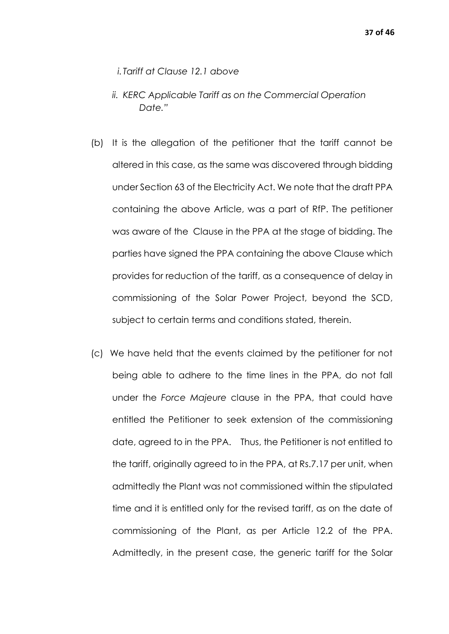- *i.Tariff at Clause 12.1 above*
- *ii. KERC Applicable Tariff as on the Commercial Operation Date."*
- (b) It is the allegation of the petitioner that the tariff cannot be altered in this case, as the same was discovered through bidding under Section 63 of the Electricity Act. We note that the draft PPA containing the above Article, was a part of RfP. The petitioner was aware of the Clause in the PPA at the stage of bidding. The parties have signed the PPA containing the above Clause which provides for reduction of the tariff, as a consequence of delay in commissioning of the Solar Power Project, beyond the SCD, subject to certain terms and conditions stated, therein.
- (c) We have held that the events claimed by the petitioner for not being able to adhere to the time lines in the PPA, do not fall under the *Force Majeure* clause in the PPA, that could have entitled the Petitioner to seek extension of the commissioning date, agreed to in the PPA. Thus, the Petitioner is not entitled to the tariff, originally agreed to in the PPA, at Rs.7.17 per unit, when admittedly the Plant was not commissioned within the stipulated time and it is entitled only for the revised tariff, as on the date of commissioning of the Plant, as per Article 12.2 of the PPA. Admittedly, in the present case, the generic tariff for the Solar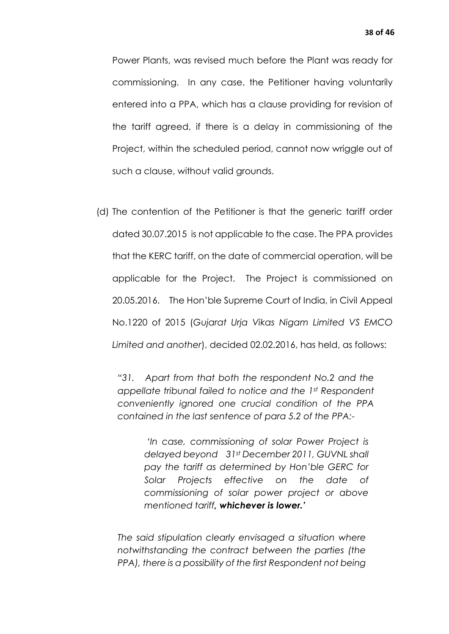Power Plants, was revised much before the Plant was ready for commissioning. In any case, the Petitioner having voluntarily entered into a PPA, which has a clause providing for revision of the tariff agreed, if there is a delay in commissioning of the Project, within the scheduled period, cannot now wriggle out of such a clause, without valid grounds.

(d) The contention of the Petitioner is that the generic tariff order dated 30.07.2015 is not applicable to the case. The PPA provides that the KERC tariff, on the date of commercial operation, will be applicable for the Project. The Project is commissioned on 20.05.2016. The Hon'ble Supreme Court of India, in Civil Appeal No.1220 of 2015 (*Gujarat Urja Vikas Nigam Limited VS EMCO Limited and another*), decided 02.02.2016, has held, as follows:

*"31. Apart from that both the respondent No.2 and the appellate tribunal failed to notice and the 1st Respondent conveniently ignored one crucial condition of the PPA contained in the last sentence of para 5.2 of the PPA:-*

> *'In case, commissioning of solar Power Project is delayed beyond 31st December 2011, GUVNL shall pay the tariff as determined by Hon'ble GERC for Solar Projects effective on the date of commissioning of solar power project or above mentioned tariff, whichever is lower.'*

*The said stipulation clearly envisaged a situation where notwithstanding the contract between the parties (the PPA), there is a possibility of the first Respondent not being*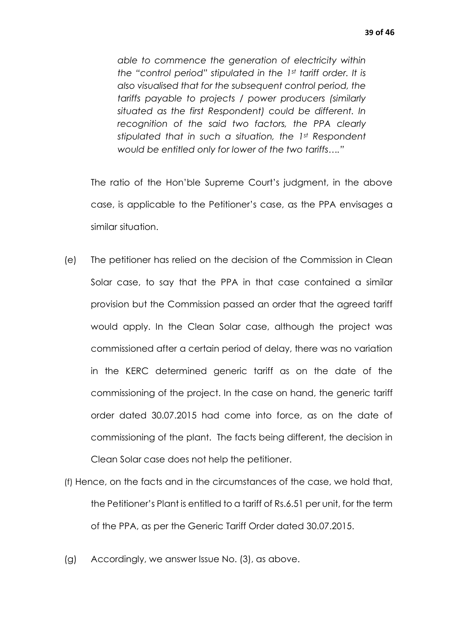*able to commence the generation of electricity within the "control period" stipulated in the 1st tariff order. It is also visualised that for the subsequent control period, the tariffs payable to projects / power producers (similarly situated as the first Respondent) could be different. In recognition of the said two factors, the PPA clearly stipulated that in such a situation, the 1st Respondent would be entitled only for lower of the two tariffs…."* 

The ratio of the Hon'ble Supreme Court's judgment, in the above case, is applicable to the Petitioner's case, as the PPA envisages a similar situation.

- (e) The petitioner has relied on the decision of the Commission in Clean Solar case, to say that the PPA in that case contained a similar provision but the Commission passed an order that the agreed tariff would apply. In the Clean Solar case, although the project was commissioned after a certain period of delay, there was no variation in the KERC determined generic tariff as on the date of the commissioning of the project. In the case on hand, the generic tariff order dated 30.07.2015 had come into force, as on the date of commissioning of the plant. The facts being different, the decision in Clean Solar case does not help the petitioner.
- (f) Hence, on the facts and in the circumstances of the case, we hold that, the Petitioner's Plant is entitled to a tariff of Rs.6.51 per unit, for the term of the PPA, as per the Generic Tariff Order dated 30.07.2015.
- (g) Accordingly, we answer Issue No. (3), as above.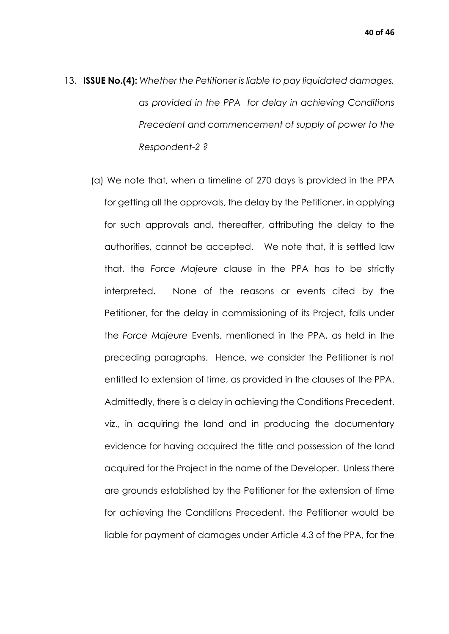- 13. **ISSUE No.(4):** *Whether the Petitioner is liable to pay liquidated damages, as provided in the PPA for delay in achieving Conditions Precedent and commencement of supply of power to the Respondent-2 ?*
	- (a) We note that, when a timeline of 270 days is provided in the PPA for getting all the approvals, the delay by the Petitioner, in applying for such approvals and, thereafter, attributing the delay to the authorities, cannot be accepted. We note that, it is settled law that, the *Force Majeure* clause in the PPA has to be strictly interpreted. None of the reasons or events cited by the Petitioner, for the delay in commissioning of its Project, falls under the *Force Majeure* Events, mentioned in the PPA, as held in the preceding paragraphs. Hence, we consider the Petitioner is not entitled to extension of time, as provided in the clauses of the PPA. Admittedly, there is a delay in achieving the Conditions Precedent. viz., in acquiring the land and in producing the documentary evidence for having acquired the title and possession of the land acquired for the Project in the name of the Developer. Unless there are grounds established by the Petitioner for the extension of time for achieving the Conditions Precedent, the Petitioner would be liable for payment of damages under Article 4.3 of the PPA, for the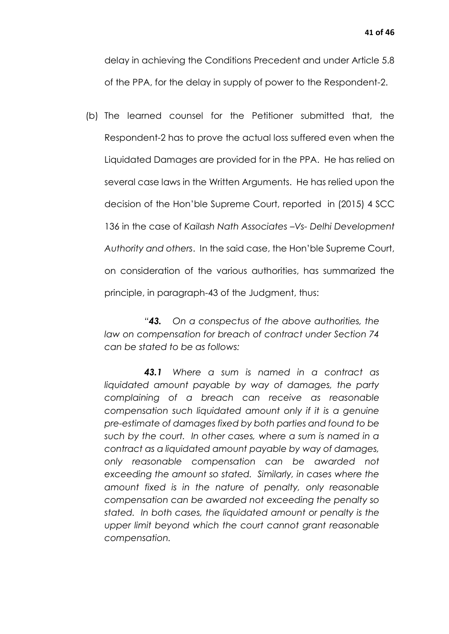delay in achieving the Conditions Precedent and under Article 5.8 of the PPA, for the delay in supply of power to the Respondent-2.

(b) The learned counsel for the Petitioner submitted that, the Respondent-2 has to prove the actual loss suffered even when the Liquidated Damages are provided for in the PPA. He has relied on several case laws in the Written Arguments. He has relied upon the decision of the Hon'ble Supreme Court, reported in (2015) 4 SCC 136 in the case of *Kailash Nath Associates –Vs- Delhi Development Authority and others*. In the said case, the Hon'ble Supreme Court, on consideration of the various authorities, has summarized the principle, in paragraph-43 of the Judgment, thus:

*"43. On a conspectus of the above authorities, the law on compensation for breach of contract under Section 74 can be stated to be as follows:*

*43.1 Where a sum is named in a contract as liquidated amount payable by way of damages, the party complaining of a breach can receive as reasonable compensation such liquidated amount only if it is a genuine pre-estimate of damages fixed by both parties and found to be such by the court. In other cases, where a sum is named in a contract as a liquidated amount payable by way of damages, only reasonable compensation can be awarded not exceeding the amount so stated. Similarly, in cases where the amount fixed is in the nature of penalty, only reasonable compensation can be awarded not exceeding the penalty so stated. In both cases, the liquidated amount or penalty is the upper limit beyond which the court cannot grant reasonable compensation.*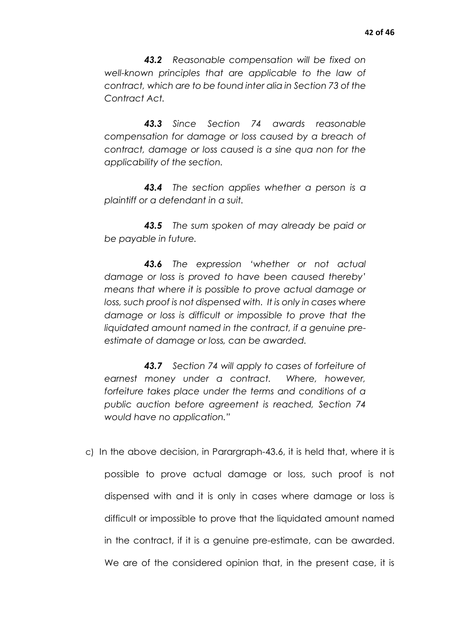*43.2 Reasonable compensation will be fixed on well-known principles that are applicable to the law of contract, which are to be found inter alia in Section 73 of the Contract Act.*

*43.3 Since Section 74 awards reasonable compensation for damage or loss caused by a breach of contract, damage or loss caused is a sine qua non for the applicability of the section.*

*43.4 The section applies whether a person is a plaintiff or a defendant in a suit.*

*43.5 The sum spoken of may already be paid or be payable in future.*

*43.6 The expression 'whether or not actual damage or loss is proved to have been caused thereby' means that where it is possible to prove actual damage or*  loss, such proof is not dispensed with. It is only in cases where *damage or loss is difficult or impossible to prove that the liquidated amount named in the contract, if a genuine preestimate of damage or loss, can be awarded.*

*43.7 Section 74 will apply to cases of forfeiture of earnest money under a contract. Where, however, forfeiture takes place under the terms and conditions of a public auction before agreement is reached, Section 74 would have no application."*

c) In the above decision, in Parargraph-43.6, it is held that, where it is possible to prove actual damage or loss, such proof is not dispensed with and it is only in cases where damage or loss is difficult or impossible to prove that the liquidated amount named in the contract, if it is a genuine pre-estimate, can be awarded. We are of the considered opinion that, in the present case, it is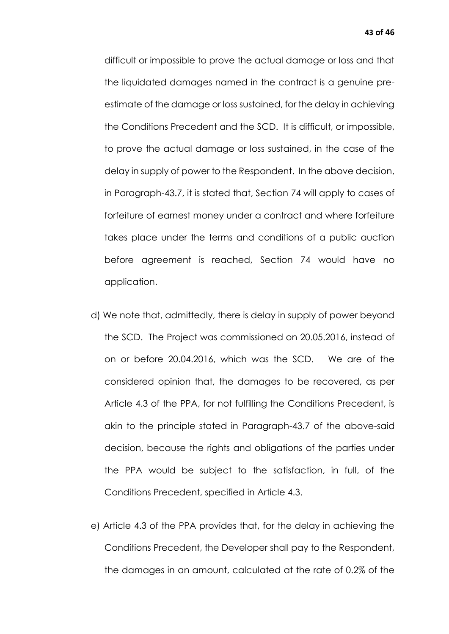difficult or impossible to prove the actual damage or loss and that the liquidated damages named in the contract is a genuine preestimate of the damage or loss sustained, for the delay in achieving the Conditions Precedent and the SCD. It is difficult, or impossible, to prove the actual damage or loss sustained, in the case of the delay in supply of power to the Respondent. In the above decision, in Paragraph-43.7, it is stated that, Section 74 will apply to cases of forfeiture of earnest money under a contract and where forfeiture takes place under the terms and conditions of a public auction before agreement is reached, Section 74 would have no application.

- d) We note that, admittedly, there is delay in supply of power beyond the SCD. The Project was commissioned on 20.05.2016, instead of on or before 20.04.2016, which was the SCD. We are of the considered opinion that, the damages to be recovered, as per Article 4.3 of the PPA, for not fulfilling the Conditions Precedent, is akin to the principle stated in Paragraph-43.7 of the above-said decision, because the rights and obligations of the parties under the PPA would be subject to the satisfaction, in full, of the Conditions Precedent, specified in Article 4.3.
- e) Article 4.3 of the PPA provides that, for the delay in achieving the Conditions Precedent, the Developer shall pay to the Respondent, the damages in an amount, calculated at the rate of 0.2% of the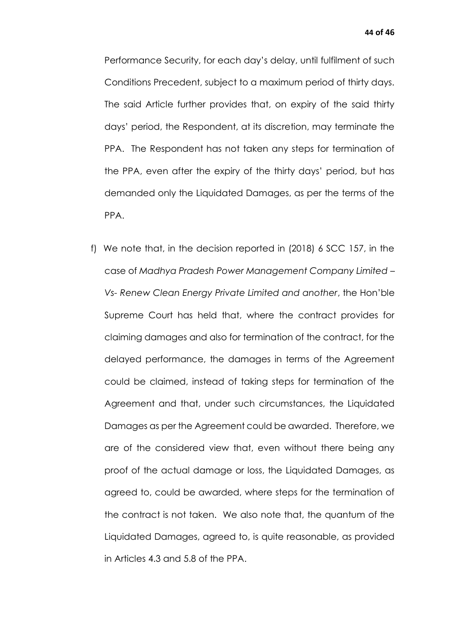Performance Security, for each day's delay, until fulfilment of such Conditions Precedent, subject to a maximum period of thirty days. The said Article further provides that, on expiry of the said thirty days' period, the Respondent, at its discretion, may terminate the PPA. The Respondent has not taken any steps for termination of the PPA, even after the expiry of the thirty days' period, but has demanded only the Liquidated Damages, as per the terms of the PPA.

f) We note that, in the decision reported in (2018) 6 SCC 157, in the case of *Madhya Pradesh Power Management Company Limited – Vs- Renew Clean Energy Private Limited and another*, the Hon'ble Supreme Court has held that, where the contract provides for claiming damages and also for termination of the contract, for the delayed performance, the damages in terms of the Agreement could be claimed, instead of taking steps for termination of the Agreement and that, under such circumstances, the Liquidated Damages as per the Agreement could be awarded. Therefore, we are of the considered view that, even without there being any proof of the actual damage or loss, the Liquidated Damages, as agreed to, could be awarded, where steps for the termination of the contract is not taken. We also note that, the quantum of the Liquidated Damages, agreed to, is quite reasonable, as provided in Articles 4.3 and 5.8 of the PPA.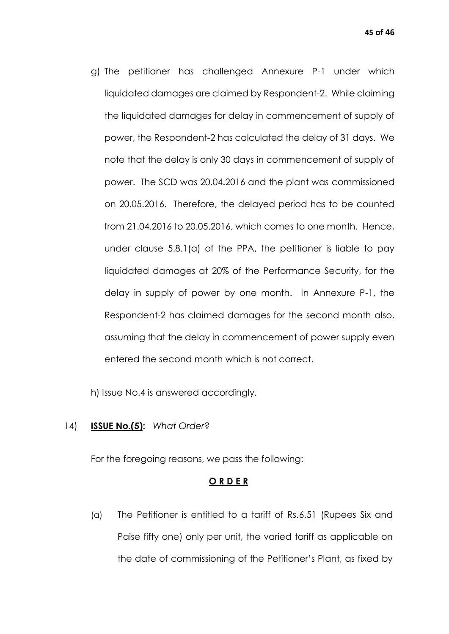g) The petitioner has challenged Annexure P-1 under which liquidated damages are claimed by Respondent-2. While claiming the liquidated damages for delay in commencement of supply of power, the Respondent-2 has calculated the delay of 31 days. We note that the delay is only 30 days in commencement of supply of power. The SCD was 20.04.2016 and the plant was commissioned on 20.05.2016. Therefore, the delayed period has to be counted from 21.04.2016 to 20.05.2016, which comes to one month. Hence, under clause 5.8.1(a) of the PPA, the petitioner is liable to pay liquidated damages at 20% of the Performance Security, for the delay in supply of power by one month. In Annexure P-1, the Respondent-2 has claimed damages for the second month also, assuming that the delay in commencement of power supply even entered the second month which is not correct.

h) Issue No.4 is answered accordingly.

## 14) **ISSUE No.(5):** *What Order*?

For the foregoing reasons, we pass the following:

## **O R D E R**

(a) The Petitioner is entitled to a tariff of Rs.6.51 (Rupees Six and Paise fifty one) only per unit, the varied tariff as applicable on the date of commissioning of the Petitioner's Plant, as fixed by